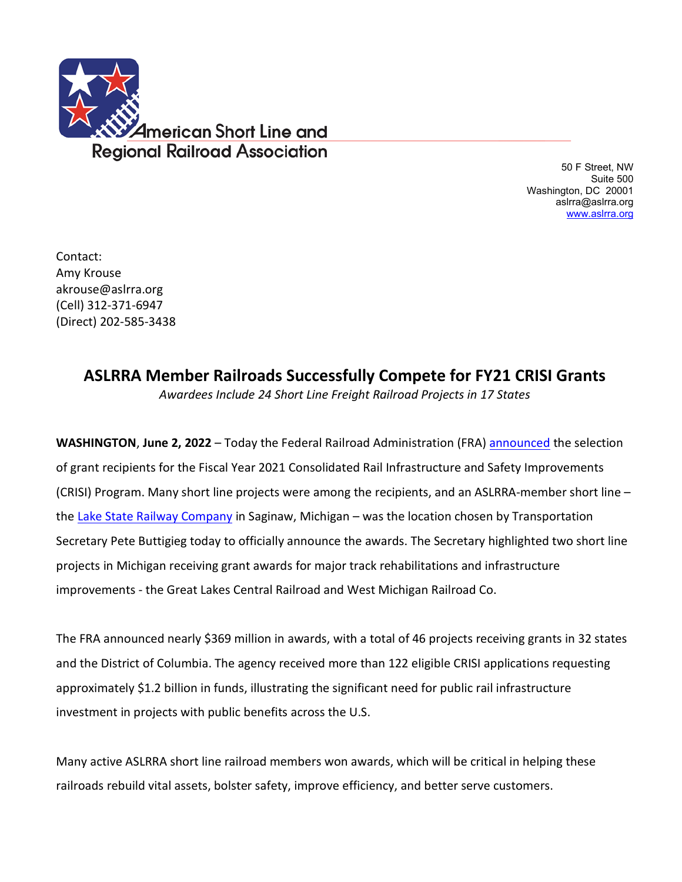

 50 F Street, NW Suite 500 Washington, DC 20001 aslrra@aslrra.org [www.aslrra.org](http://www.aslrra.org/)

Contact: Amy Krouse akrouse@aslrra.org (Cell) 312-371-6947 (Direct) 202-585-3438

## **ASLRRA Member Railroads Successfully Compete for FY21 CRISI Grants**

*Awardees Include 24 Short Line Freight Railroad Projects in 17 States*

**WASHINGTON**, **June 2, 2022** – Today the Federal Railroad Administration (FRA) [announced](https://railroads.dot.gov/newsroom/press-releases/biden-administration-announces-over-368-million-grants-improve-rail-0) the selection of grant recipients for the Fiscal Year 2021 Consolidated Rail Infrastructure and Safety Improvements (CRISI) Program. Many short line projects were among the recipients, and an ASLRRA-member short line – the [Lake State Railway Company](https://www.lsrc.com/) in Saginaw, Michigan – was the location chosen by Transportation Secretary Pete Buttigieg today to officially announce the awards. The Secretary highlighted two short line projects in Michigan receiving grant awards for major track rehabilitations and infrastructure improvements - the Great Lakes Central Railroad and West Michigan Railroad Co.

The FRA announced nearly \$369 million in awards, with a total of 46 projects receiving grants in 32 states and the District of Columbia. The agency received more than 122 eligible CRISI applications requesting approximately \$1.2 billion in funds, illustrating the significant need for public rail infrastructure investment in projects with public benefits across the U.S.

Many active ASLRRA short line railroad members won awards, which will be critical in helping these railroads rebuild vital assets, bolster safety, improve efficiency, and better serve customers.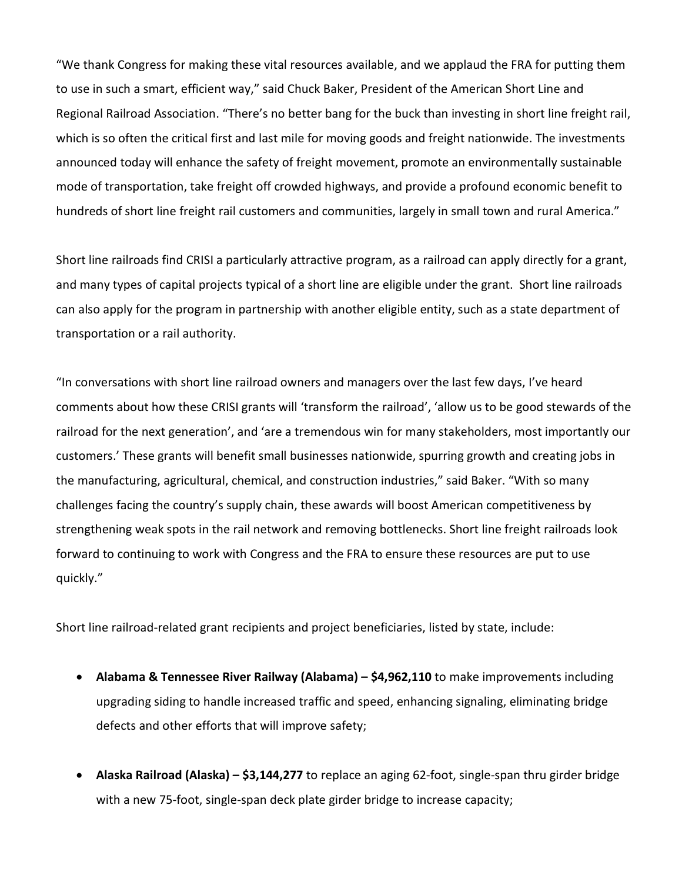"We thank Congress for making these vital resources available, and we applaud the FRA for putting them to use in such a smart, efficient way," said Chuck Baker, President of the American Short Line and Regional Railroad Association. "There's no better bang for the buck than investing in short line freight rail, which is so often the critical first and last mile for moving goods and freight nationwide. The investments announced today will enhance the safety of freight movement, promote an environmentally sustainable mode of transportation, take freight off crowded highways, and provide a profound economic benefit to hundreds of short line freight rail customers and communities, largely in small town and rural America."

Short line railroads find CRISI a particularly attractive program, as a railroad can apply directly for a grant, and many types of capital projects typical of a short line are eligible under the grant. Short line railroads can also apply for the program in partnership with another eligible entity, such as a state department of transportation or a rail authority.

"In conversations with short line railroad owners and managers over the last few days, I've heard comments about how these CRISI grants will 'transform the railroad', 'allow us to be good stewards of the railroad for the next generation', and 'are a tremendous win for many stakeholders, most importantly our customers.' These grants will benefit small businesses nationwide, spurring growth and creating jobs in the manufacturing, agricultural, chemical, and construction industries," said Baker. "With so many challenges facing the country's supply chain, these awards will boost American competitiveness by strengthening weak spots in the rail network and removing bottlenecks. Short line freight railroads look forward to continuing to work with Congress and the FRA to ensure these resources are put to use quickly."

Short line railroad-related grant recipients and project beneficiaries, listed by state, include:

- **Alabama & Tennessee River Railway (Alabama) – \$4,962,110** to make improvements including upgrading siding to handle increased traffic and speed, enhancing signaling, eliminating bridge defects and other efforts that will improve safety;
- **Alaska Railroad (Alaska) – \$3,144,277** to replace an aging 62-foot, single-span thru girder bridge with a new 75-foot, single-span deck plate girder bridge to increase capacity;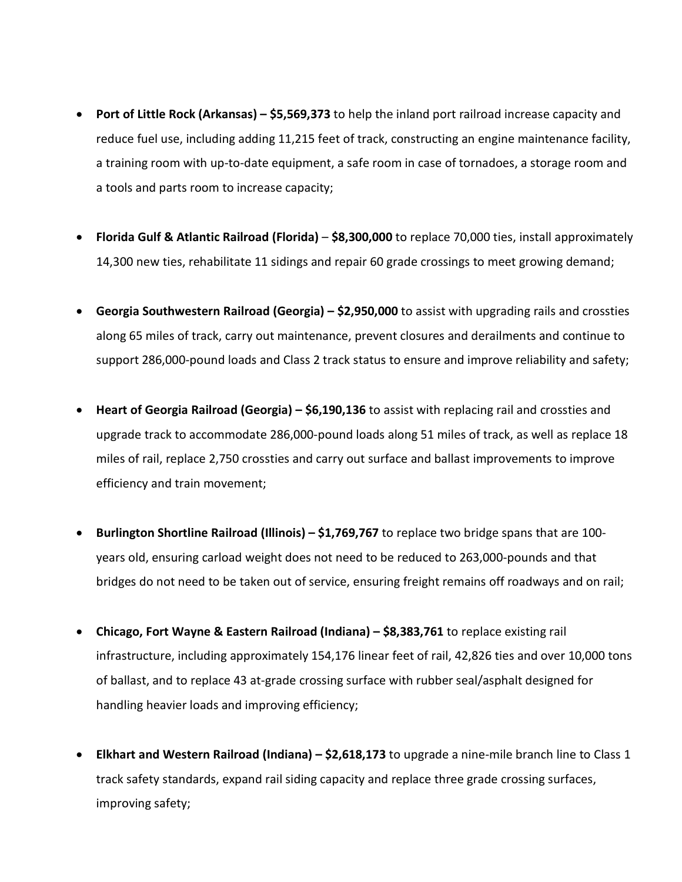- **Port of Little Rock (Arkansas) – \$5,569,373** to help the inland port railroad increase capacity and reduce fuel use, including adding 11,215 feet of track, constructing an engine maintenance facility, a training room with up-to-date equipment, a safe room in case of tornadoes, a storage room and a tools and parts room to increase capacity;
- **Florida Gulf & Atlantic Railroad (Florida) \$8,300,000** to replace 70,000 ties, install approximately 14,300 new ties, rehabilitate 11 sidings and repair 60 grade crossings to meet growing demand;
- **Georgia Southwestern Railroad (Georgia) – \$2,950,000** to assist with upgrading rails and crossties along 65 miles of track, carry out maintenance, prevent closures and derailments and continue to support 286,000-pound loads and Class 2 track status to ensure and improve reliability and safety;
- **Heart of Georgia Railroad (Georgia) – \$6,190,136** to assist with replacing rail and crossties and upgrade track to accommodate 286,000-pound loads along 51 miles of track, as well as replace 18 miles of rail, replace 2,750 crossties and carry out surface and ballast improvements to improve efficiency and train movement;
- **Burlington Shortline Railroad (Illinois) – \$1,769,767** to replace two bridge spans that are 100 years old, ensuring carload weight does not need to be reduced to 263,000-pounds and that bridges do not need to be taken out of service, ensuring freight remains off roadways and on rail;
- **Chicago, Fort Wayne & Eastern Railroad (Indiana) – \$8,383,761** to replace existing rail infrastructure, including approximately 154,176 linear feet of rail, 42,826 ties and over 10,000 tons of ballast, and to replace 43 at-grade crossing surface with rubber seal/asphalt designed for handling heavier loads and improving efficiency;
- **Elkhart and Western Railroad (Indiana) – \$2,618,173** to upgrade a nine-mile branch line to Class 1 track safety standards, expand rail siding capacity and replace three grade crossing surfaces, improving safety;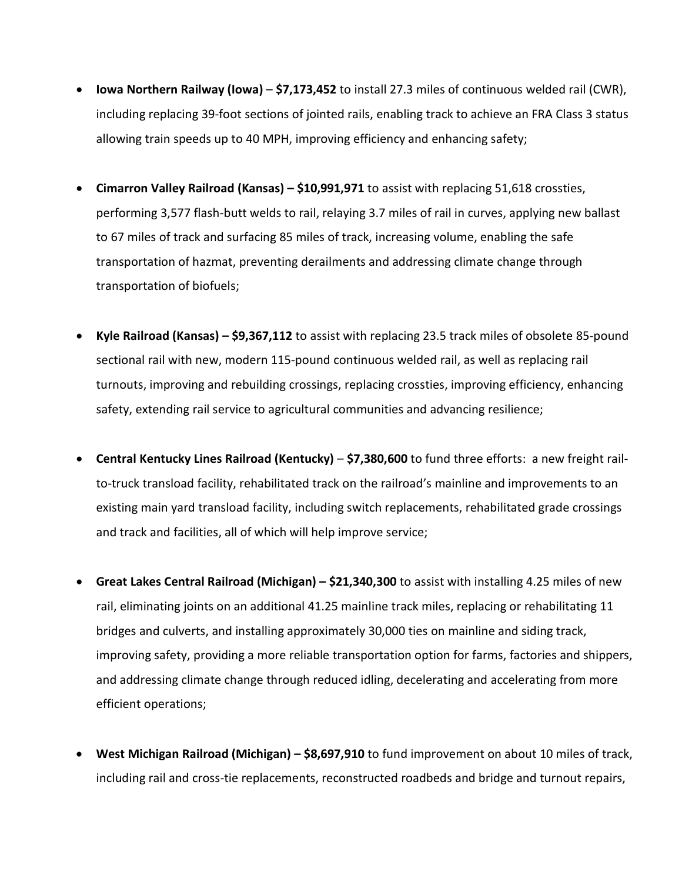- **Iowa Northern Railway (Iowa) \$7,173,452** to install 27.3 miles of continuous welded rail (CWR), including replacing 39-foot sections of jointed rails, enabling track to achieve an FRA Class 3 status allowing train speeds up to 40 MPH, improving efficiency and enhancing safety;
- **Cimarron Valley Railroad (Kansas) – \$10,991,971** to assist with replacing 51,618 crossties, performing 3,577 flash-butt welds to rail, relaying 3.7 miles of rail in curves, applying new ballast to 67 miles of track and surfacing 85 miles of track, increasing volume, enabling the safe transportation of hazmat, preventing derailments and addressing climate change through transportation of biofuels;
- **Kyle Railroad (Kansas) – \$9,367,112** to assist with replacing 23.5 track miles of obsolete 85-pound sectional rail with new, modern 115-pound continuous welded rail, as well as replacing rail turnouts, improving and rebuilding crossings, replacing crossties, improving efficiency, enhancing safety, extending rail service to agricultural communities and advancing resilience;
- **Central Kentucky Lines Railroad (Kentucky) \$7,380,600** to fund three efforts: a new freight railto-truck transload facility, rehabilitated track on the railroad's mainline and improvements to an existing main yard transload facility, including switch replacements, rehabilitated grade crossings and track and facilities, all of which will help improve service;
- **Great Lakes Central Railroad (Michigan) – \$21,340,300** to assist with installing 4.25 miles of new rail, eliminating joints on an additional 41.25 mainline track miles, replacing or rehabilitating 11 bridges and culverts, and installing approximately 30,000 ties on mainline and siding track, improving safety, providing a more reliable transportation option for farms, factories and shippers, and addressing climate change through reduced idling, decelerating and accelerating from more efficient operations;
- **West Michigan Railroad (Michigan) – \$8,697,910** to fund improvement on about 10 miles of track, including rail and cross-tie replacements, reconstructed roadbeds and bridge and turnout repairs,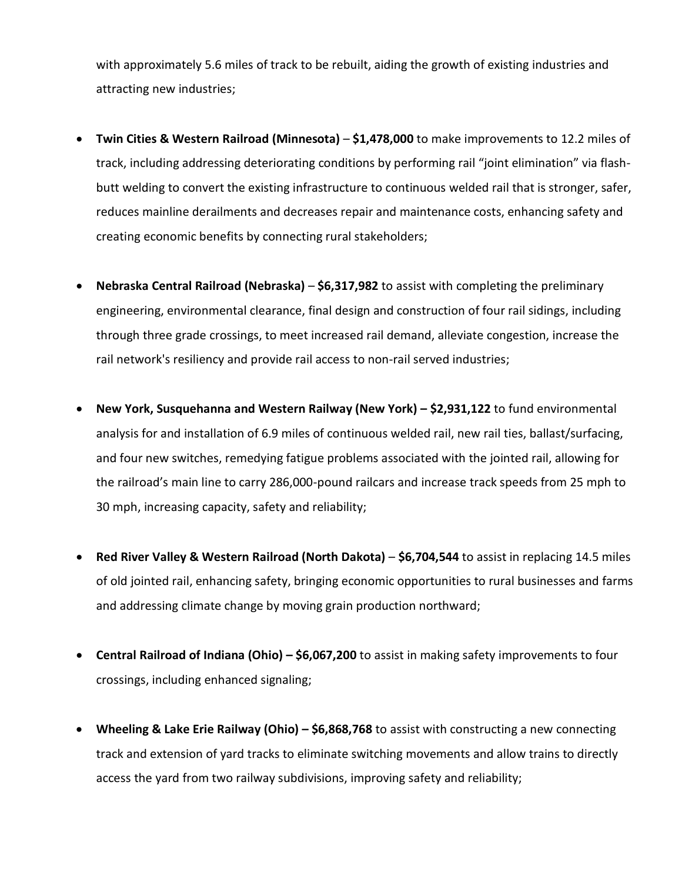with approximately 5.6 miles of track to be rebuilt, aiding the growth of existing industries and attracting new industries;

- **Twin Cities & Western Railroad (Minnesota) \$1,478,000** to make improvements to 12.2 miles of track, including addressing deteriorating conditions by performing rail "joint elimination" via flashbutt welding to convert the existing infrastructure to continuous welded rail that is stronger, safer, reduces mainline derailments and decreases repair and maintenance costs, enhancing safety and creating economic benefits by connecting rural stakeholders;
- **Nebraska Central Railroad (Nebraska) \$6,317,982** to assist with completing the preliminary engineering, environmental clearance, final design and construction of four rail sidings, including through three grade crossings, to meet increased rail demand, alleviate congestion, increase the rail network's resiliency and provide rail access to non-rail served industries;
- **New York, Susquehanna and Western Railway (New York) – \$2,931,122** to fund environmental analysis for and installation of 6.9 miles of continuous welded rail, new rail ties, ballast/surfacing, and four new switches, remedying fatigue problems associated with the jointed rail, allowing for the railroad's main line to carry 286,000-pound railcars and increase track speeds from 25 mph to 30 mph, increasing capacity, safety and reliability;
- **Red River Valley & Western Railroad (North Dakota) \$6,704,544** to assist in replacing 14.5 miles of old jointed rail, enhancing safety, bringing economic opportunities to rural businesses and farms and addressing climate change by moving grain production northward;
- **Central Railroad of Indiana (Ohio) – \$6,067,200** to assist in making safety improvements to four crossings, including enhanced signaling;
- **Wheeling & Lake Erie Railway (Ohio) – \$6,868,768** to assist with constructing a new connecting track and extension of yard tracks to eliminate switching movements and allow trains to directly access the yard from two railway subdivisions, improving safety and reliability;